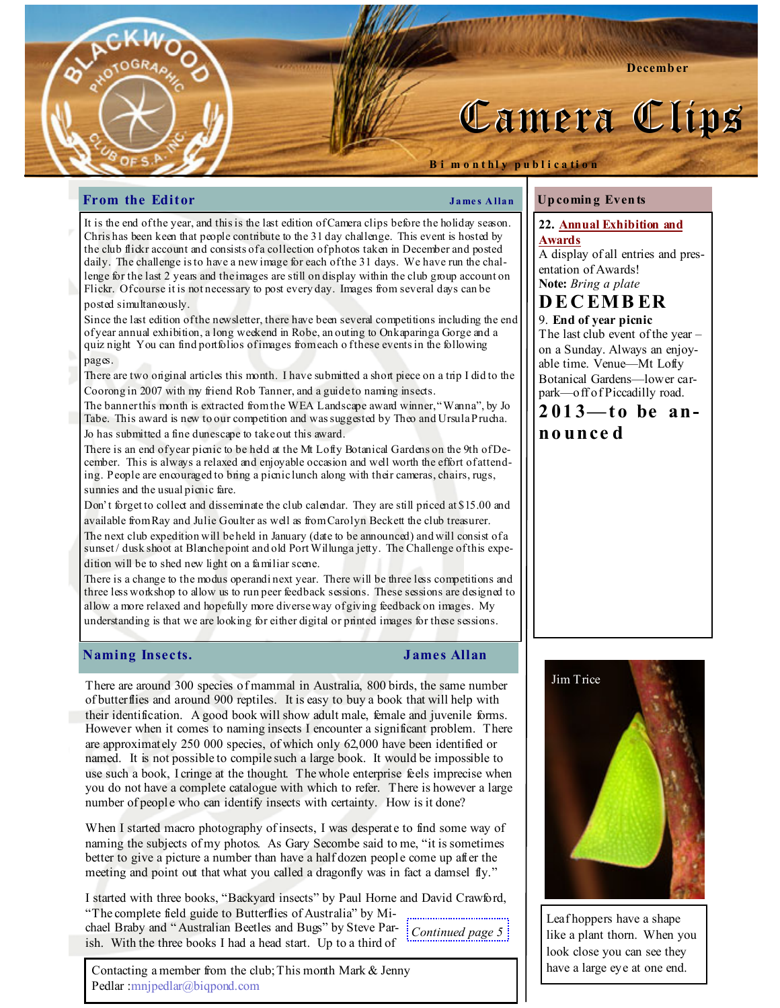

Up comin g Even ts

Camera Clips

entation of Awards! Note: Bring a plate D E C EM B ER 9. End of year picnic

no unce d

Awards

22. Annual Exhibition and

A display of all entries and pres-

The last club event of the year – on a Sunday. Always an enjoyable time. Venue—Mt Lofty Botanical Gardens—lower carpark—off of Piccadilly road.  $2013 -$  to be an-

## From the Editor Theorem 2008 Shapes Allan

Bi m on thly publication

It is the end of the year, and this is the last edition of Camera clips before the holiday season. Chris has been keen that people contribute to the 31 day challenge. This event is hosted by the club flickr account and consists of a collection of photos taken in December and posted daily. The challenge is to have a new image for each of the 31 days. We have run the challenge for the last 2 years and the images are still on display within the club group account on Flickr. Of course it is not necessary to post every day. Images from several days can be posted simultaneously.

Since the last edition of the newsletter, there have been several competitions including the end of year annual exhibition, a long weekend in Robe, an outing to Onkaparinga Gorge and a quiz night You can find portfolios of images from each o f these events in the following pages.

There are two original articles this month. I have submitted a short piece on a trip I did to the Coorong in 2007 with my friend Rob Tanner, and a guide to naming insects.

The banner this month is extracted from the WEA Landscape award winner, "Wanna", by Jo Tabe. This award is new to our competition and was suggested by Theo and Ursula Prucha. Jo has submitted a fine dunescape to take out this award.

There is an end of year picnic to be held at the Mt Lofty Botanical Gardens on the 9th of December. This is always a relaxed and enjoyable occasion and well worth the effort of attending. People are encouraged to bring a picnic lunch along with their cameras, chairs, rugs, sunnies and the usual picnic fare.

Don't forget to collect and disseminate the club calendar. They are still priced at \$15.00 and available from Ray and Julie Goulter as well as from Carolyn Beckett the club treasurer.

The next club expedition will be held in January (date to be announced) and will consist of a sunset / dusk shoot at Blanche point and old Port Willunga jetty. The Challenge of this expedition will be to shed new light on a familiar scene.

There is a change to the modus operandi next year. There will be three less competitions and three less workshop to allow us to run peer feedback sessions. These sessions are designed to allow a more relaxed and hopefully more diverse way of giving feedback on images. My understanding is that we are looking for either digital or printed images for these sessions.

### Naming Insects. James Allan

There are around 300 species of mammal in Australia, 800 birds, the same number of butterflies and around 900 reptiles. It is easy to buy a book that will help with their identification. A good book will show adult male, female and juvenile forms. However when it comes to naming insects I encounter a significant problem. There are approximately 250 000 species, of which only 62,000 have been identified or named. It is not possible to compile such a large book. It would be impossible to use such a book, I cringe at the thought. The whole enterprise feels imprecise when you do not have a complete catalogue with which to refer. There is however a large number of people who can identify insects with certainty. How is it done?

When I started macro photography of insects, I was desperate to find some way of naming the subjects of my photos. As Gary Secombe said to me, "it is sometimes better to give a picture a number than have a half dozen people come up after the meeting and point out that what you called a dragonfly was in fact a damsel fly."

I started with three books, "Backyard insects" by Paul Horne and David Crawford, "The complete field guide to Butterflies of Australia" by Mi-

chael Braby and " Australian Beetles and Bugs" by Steve Par-Continued page 5 ish. With the three books I had a head start. Up to a third of

Contacting a member from the club; This month Mark & Jenny Pedlar :mnjpedlar@biqpond.com



Leaf hoppers have a shape like a plant thorn. When you look close you can see they have a large eye at one end.

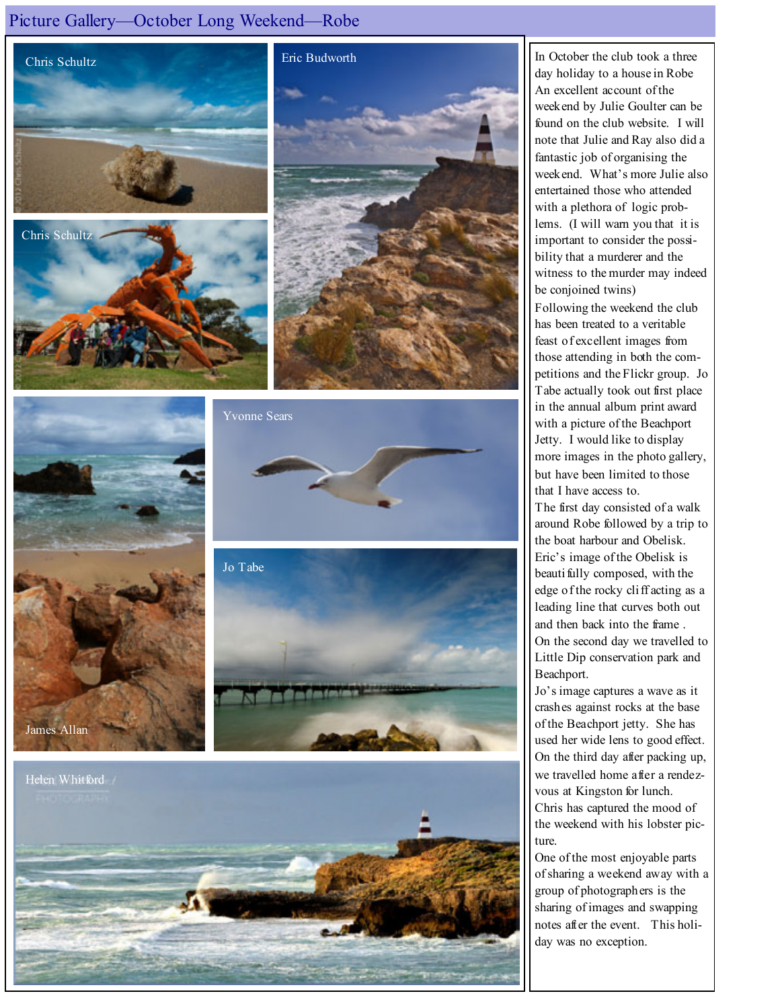## Picture Gallery—October Long Weekend—Robe













In October the club took a three day holiday to a house in Robe An excellent account of the weekend by Julie Goulter can be found on the club website. I will note that Julie and Ray also did a fantastic job of organising the weekend. What's more Julie also entertained those who attended with a plethora of logic problems. (I will warn you that it is important to consider the possibility that a murderer and the witness to the murder may indeed be conjoined twins) Following the weekend the club has been treated to a veritable feast of excellent images from those attending in both the competitions and the Flickr group. Jo Tabe actually took out first place in the annual album print award

with a picture of the Beachport Jetty. I would like to display more images in the photo gallery, but have been limited to those that I have access to.

The first day consisted of a walk around Robe followed by a trip to the boat harbour and Obelisk. Eric's image of the Obelisk is beauti fully composed, with the edge of the rocky cliff acting as a leading line that curves both out and then back into the frame . On the second day we travelled to Little Dip conservation park and Beachport.

Jo's image captures a wave as it crashes against rocks at the base of the Beachport jetty. She has used her wide lens to good effect. On the third day after packing up, we travelled home after a rendezvous at Kingston for lunch. Chris has captured the mood of the weekend with his lobster picture.

One of the most enjoyable parts of sharing a weekend away with a group of photographers is the sharing of images and swapping notes after the event. This holiday was no exception.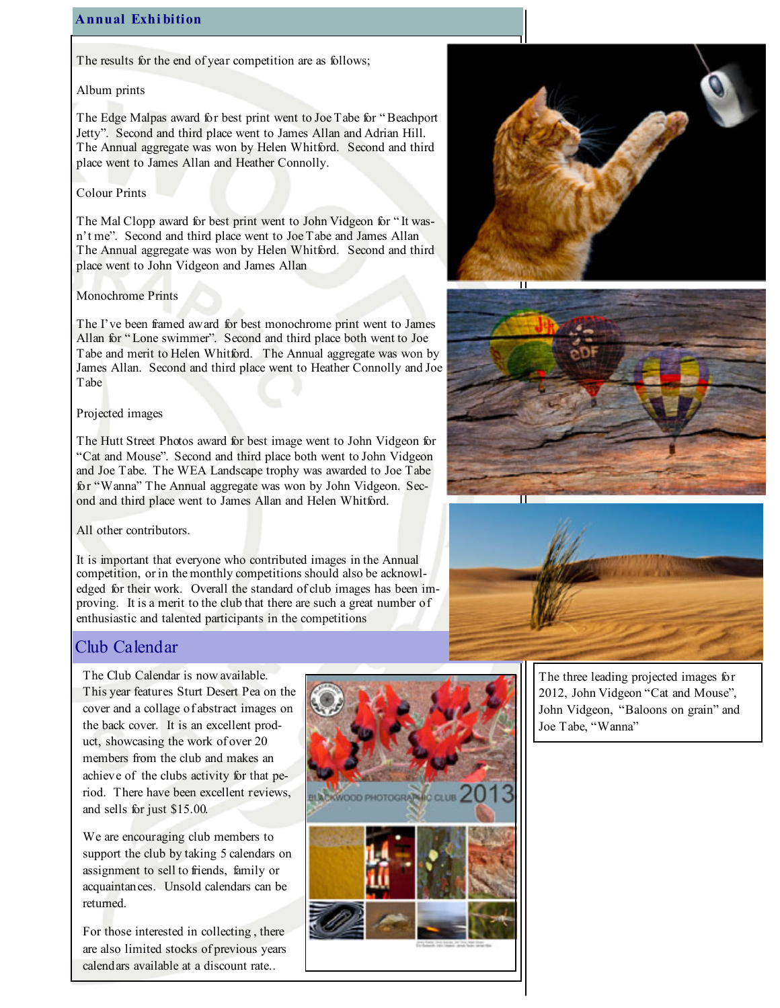### Annual Exhi bition

The results for the end of year competition are as follows;

#### Album prints

The Edge Malpas award for best print went to Joe Tabe for " Beachport Jetty". Second and third place went to James Allan and Adrian Hill. The Annual aggregate was won by Helen Whitford. Second and third place went to James Allan and Heather Connolly.

### Colour Prints

The Mal Clopp award for best print went to John Vidgeon for " It wasn't me". Second and third place went to Joe Tabe and James Allan The Annual aggregate was won by Helen Whitford. Second and third place went to John Vidgeon and James Allan

### Monochrome Prints

The I've been framed award for best monochrome print went to James Allan for " Lone swimmer". Second and third place both went to Joe Tabe and merit to Helen Whitford. The Annual aggregate was won by James Allan. Second and third place went to Heather Connolly and Joe Tabe

#### Projected images

The Hutt Street Photos award for best image went to John Vidgeon for "Cat and Mouse". Second and third place both went to John Vidgeon and Joe Tabe. The WEA Landscape trophy was awarded to Joe Tabe for "Wanna" The Annual aggregate was won by John Vidgeon. Second and third place went to James Allan and Helen Whitford.

### All other contributors.

It is important that everyone who contributed images in the Annual competition, or in the monthly competitions should also be acknowledged for their work. Overall the standard of club images has been improving. It is a merit to the club that there are such a great number of enthusiastic and talented participants in the competitions

# Club Calendar

The Club Calendar is now available. This year features Sturt Desert Pea on the cover and a collage of abstract images on the back cover. It is an excellent product, showcasing the work of over 20 members from the club and makes an achieve of the clubs activity for that period. There have been excellent reviews, and sells for just \$15.00.

We are encouraging club members to support the club by taking 5 calendars on assignment to sell to friends, family or acquaintances. Unsold calendars can be returned.

For those interested in collecting , there are also limited stocks of previous years calendars available at a discount rate..









The three leading projected images for 2012, John Vidgeon "Cat and Mouse", John Vidgeon, "Baloons on grain" and Joe Tabe, "Wanna"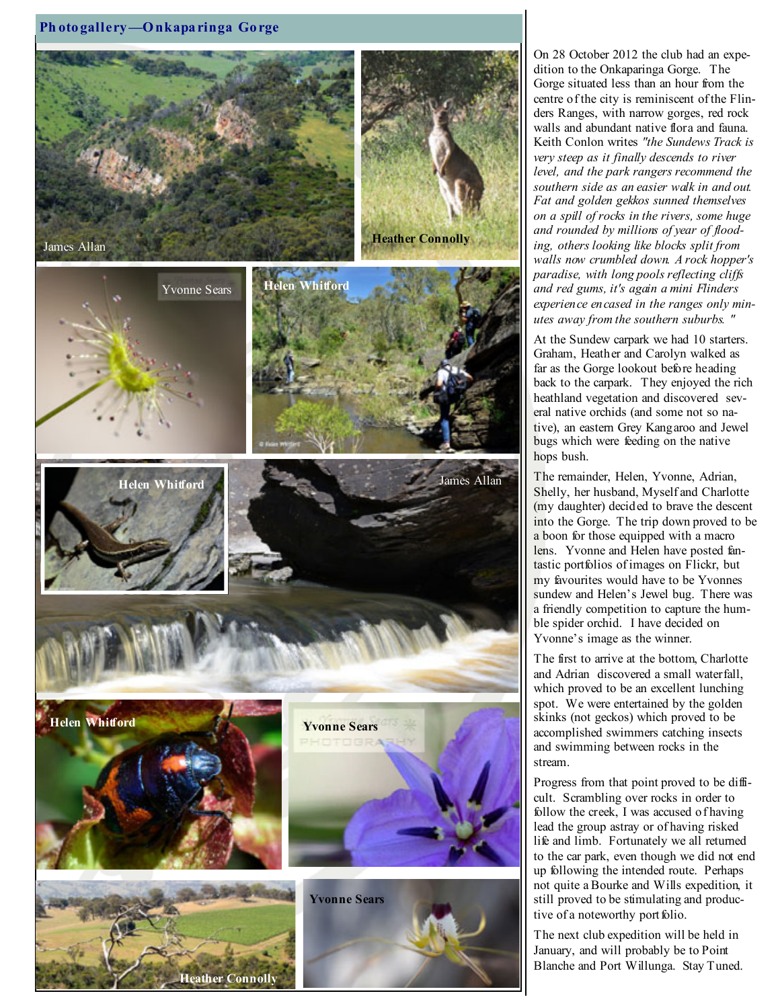

On 28 October 2012 the club had an expedition to the Onkaparinga Gorge. The Gorge situated less than an hour from the centre of the city is reminiscent of the Flinders Ranges, with narrow gorges, red rock walls and abundant native flora and fauna. Keith Conlon writes "the Sundews Track is very steep as it finally descends to river level, and the park rangers recommend the southern side as an easier walk in and out. Fat and golden gekkos sunned themselves on a spill of rocks in the rivers, some huge and rounded by millions of year of flooding, others looking like blocks split from walls now crumbled down. A rock hopper's paradise, with long pools reflecting cliffs and red gums, it's again a mini Flinders experience encased in the ranges only minutes away from the southern suburbs. "

At the Sundew carpark we had 10 starters. Graham, Heather and Carolyn walked as far as the Gorge lookout before heading back to the carpark. They enjoyed the rich heathland vegetation and discovered several native orchids (and some not so native), an eastern Grey Kangaroo and Jewel bugs which were feeding on the native hops bush.

The remainder, Helen, Yvonne, Adrian, Shelly, her husband, Myself and Charlotte (my daughter) decided to brave the descent into the Gorge. The trip down proved to be a boon for those equipped with a macro lens. Yvonne and Helen have posted fantastic portfolios of images on Flickr, but my favourites would have to be Yvonnes sundew and Helen's Jewel bug. There was a friendly competition to capture the humble spider orchid. I have decided on Yvonne's image as the winner.

The first to arrive at the bottom, Charlotte and Adrian discovered a small waterfall, which proved to be an excellent lunching spot. We were entertained by the golden skinks (not geckos) which proved to be accomplished swimmers catching insects and swimming between rocks in the stream.

Progress from that point proved to be difficult. Scrambling over rocks in order to follow the creek, I was accused of having lead the group astray or of having risked life and limb. Fortunately we all returned to the car park, even though we did not end up following the intended route. Perhaps not quite a Bourke and Wills expedition, it still proved to be stimulating and productive of a noteworthy portfolio.

The next club expedition will be held in January, and will probably be to Point Blanche and Port Willunga. Stay Tuned.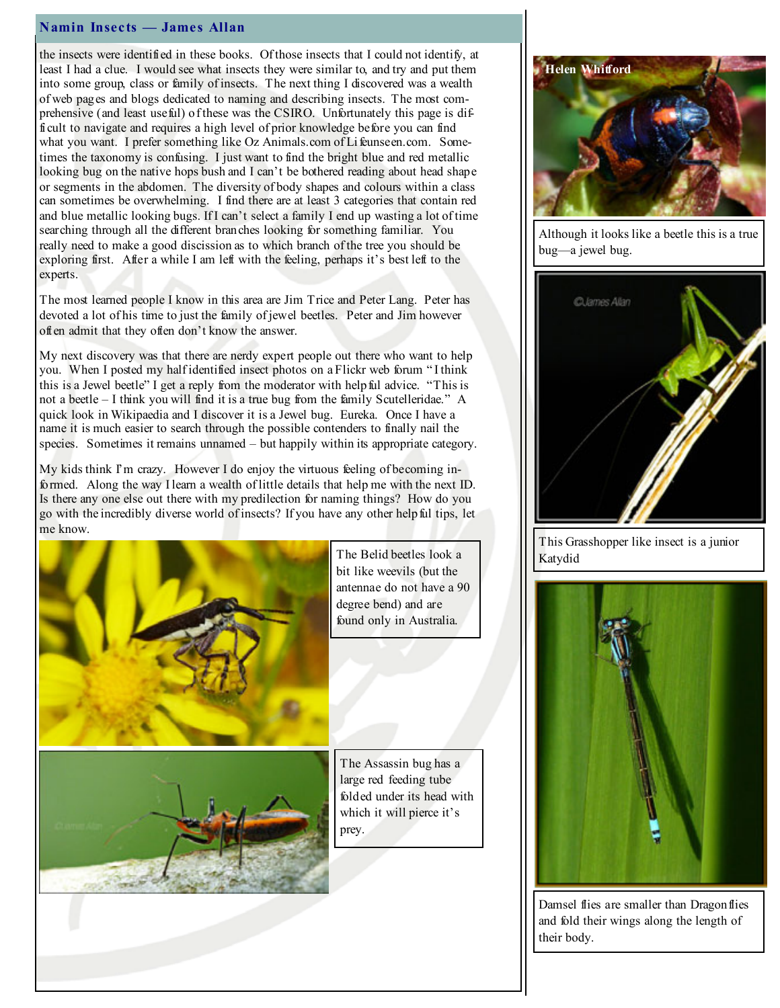#### Namin Insects — James Allan

the insects were identified in these books. Of those insects that I could not identify, at least I had a clue. I would see what insects they were similar to, and try and put them into some group, class or family of insects. The next thing I discovered was a wealth of web pages and blogs dedicated to naming and describing insects. The most comprehensive (and least useful) of these was the CSIRO. Unfortunately this page is difficult to navigate and requires a high level of prior knowledge before you can find what you want. I prefer something like Oz Animals.com of Lifeunseen.com. Sometimes the taxonomy is confusing. I just want to find the bright blue and red metallic looking bug on the native hops bush and I can't be bothered reading about head shape or segments in the abdomen. The diversity of body shapes and colours within a class can sometimes be overwhelming. I find there are at least 3 categories that contain red and blue metallic looking bugs. If I can't select a family I end up wasting a lot of time searching through all the different branches looking for something familiar. You really need to make a good discission as to which branch of the tree you should be exploring first. After a while I am left with the feeling, perhaps it's best left to the experts.

The most learned people I know in this area are Jim Trice and Peter Lang. Peter has devoted a lot of his time to just the family of jewel beetles. Peter and Jim however often admit that they often don't know the answer.

My next discovery was that there are nerdy expert people out there who want to help you. When I posted my half identified insect photos on a Flickr web forum " I think this is a Jewel beetle" I get a reply from the moderator with helpful advice. "This is not a beetle – I think you will find it is a true bug from the family Scutelleridae." A quick look in Wikipaedia and I discover it is a Jewel bug. Eureka. Once I have a name it is much easier to search through the possible contenders to finally nail the species. Sometimes it remains unnamed – but happily within its appropriate category.

My kids think I'm crazy. However I do enjoy the virtuous feeling of becoming informed. Along the way I learn a wealth of little details that help me with the next ID. Is there any one else out there with my predilection for naming things? How do you go with the incredibly diverse world of insects? If you have any other helpful tips, let me know.





The Belid beetles look a bit like weevils (but the antennae do not have a 90 degree bend) and are found only in Australia.

The Assassin bug has a large red feeding tube folded under its head with which it will pierce it's prey.



Although it looks like a beetle this is a true bug—a jewel bug.



This Grasshopper like insect is a junior Katydid



Damsel flies are smaller than Dragon flies and fold their wings along the length of their body.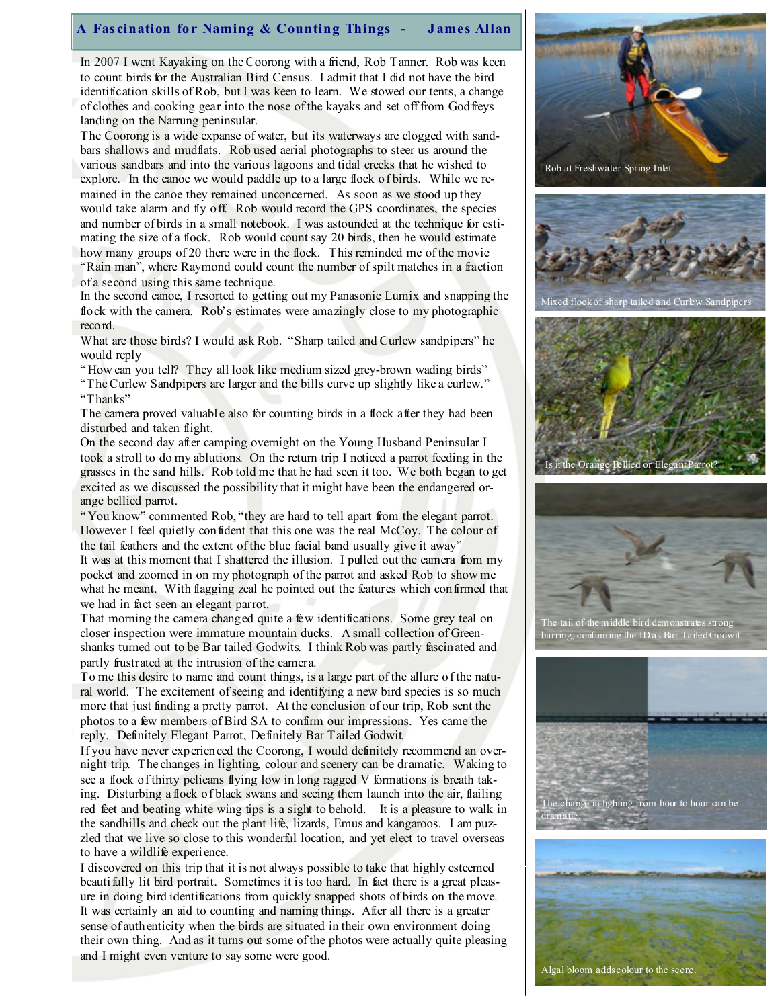#### A Fascination for Naming & Counting Things - James Allan

In 2007 I went Kayaking on the Coorong with a friend, Rob Tanner. Rob was keen to count birds for the Australian Bird Census. I admit that I did not have the bird identification skills of Rob, but I was keen to learn. We stowed our tents, a change of clothes and cooking gear into the nose of the kayaks and set off from Godfreys landing on the Narrung peninsular.

The Coorong is a wide expanse of water, but its waterways are clogged with sandbars shallows and mudflats. Rob used aerial photographs to steer us around the various sandbars and into the various lagoons and tidal creeks that he wished to explore. In the canoe we would paddle up to a large flock of birds. While we remained in the canoe they remained unconcerned. As soon as we stood up they would take alarm and fly off. Rob would record the GPS coordinates, the species and number of birds in a small notebook. I was astounded at the technique for estimating the size of a flock. Rob would count say 20 birds, then he would estimate how many groups of 20 there were in the flock. This reminded me of the movie "Rain man", where Raymond could count the number of spilt matches in a fraction of a second using this same technique.

In the second canoe, I resorted to getting out my Panasonic Lumix and snapping the flock with the camera. Rob's estimates were amazingly close to my photographic record.

What are those birds? I would ask Rob. "Sharp tailed and Curlew sandpipers" he would reply

" How can you tell? They all look like medium sized grey-brown wading birds" "The Curlew Sandpipers are larger and the bills curve up slightly like a curlew." "Thanks"

The camera proved valuable also for counting birds in a flock after they had been disturbed and taken flight.

On the second day after camping overnight on the Young Husband Peninsular I took a stroll to do my ablutions. On the return trip I noticed a parrot feeding in the grasses in the sand hills. Rob told me that he had seen it too. We both began to get excited as we discussed the possibility that it might have been the endangered orange bellied parrot.

" You know" commented Rob, "they are hard to tell apart from the elegant parrot. However I feel quietly confident that this one was the real McCoy. The colour of the tail feathers and the extent of the blue facial band usually give it away" It was at this moment that I shattered the illusion. I pulled out the camera from my pocket and zoomed in on my photograph of the parrot and asked Rob to show me what he meant. With flagging zeal he pointed out the features which confirmed that we had in fact seen an elegant parrot.

That morning the camera changed quite a few identifications. Some grey teal on closer inspection were immature mountain ducks. A small collection of Greenshanks turned out to be Bar tailed Godwits. I think Rob was partly fascinated and partly frustrated at the intrusion of the camera.

To me this desire to name and count things, is a large part of the allure of the natural world. The excitement of seeing and identifying a new bird species is so much more that just finding a pretty parrot. At the conclusion of our trip, Rob sent the photos to a few members of Bird SA to confirm our impressions. Yes came the reply. Definitely Elegant Parrot, Definitely Bar Tailed Godwit.

If you have never experienced the Coorong, I would definitely recommend an overnight trip. The changes in lighting, colour and scenery can be dramatic. Waking to see a flock of thirty pelicans flying low in long ragged V formations is breath taking. Disturbing a flock of black swans and seeing them launch into the air, flailing red feet and beating white wing tips is a sight to behold. It is a pleasure to walk in the sandhills and check out the plant life, lizards, Emus and kangaroos. I am puzzled that we live so close to this wonderful location, and yet elect to travel overseas to have a wildlife experience.

I discovered on this trip that it is not always possible to take that highly esteemed beauti fully lit bird portrait. Sometimes it is too hard. In fact there is a great pleasure in doing bird identifications from quickly snapped shots of birds on the move. It was certainly an aid to counting and naming things. After all there is a greater sense of authenticity when the birds are situated in their own environment doing their own thing. And as it turns out some of the photos were actually quite pleasing and I might even venture to say some were good.